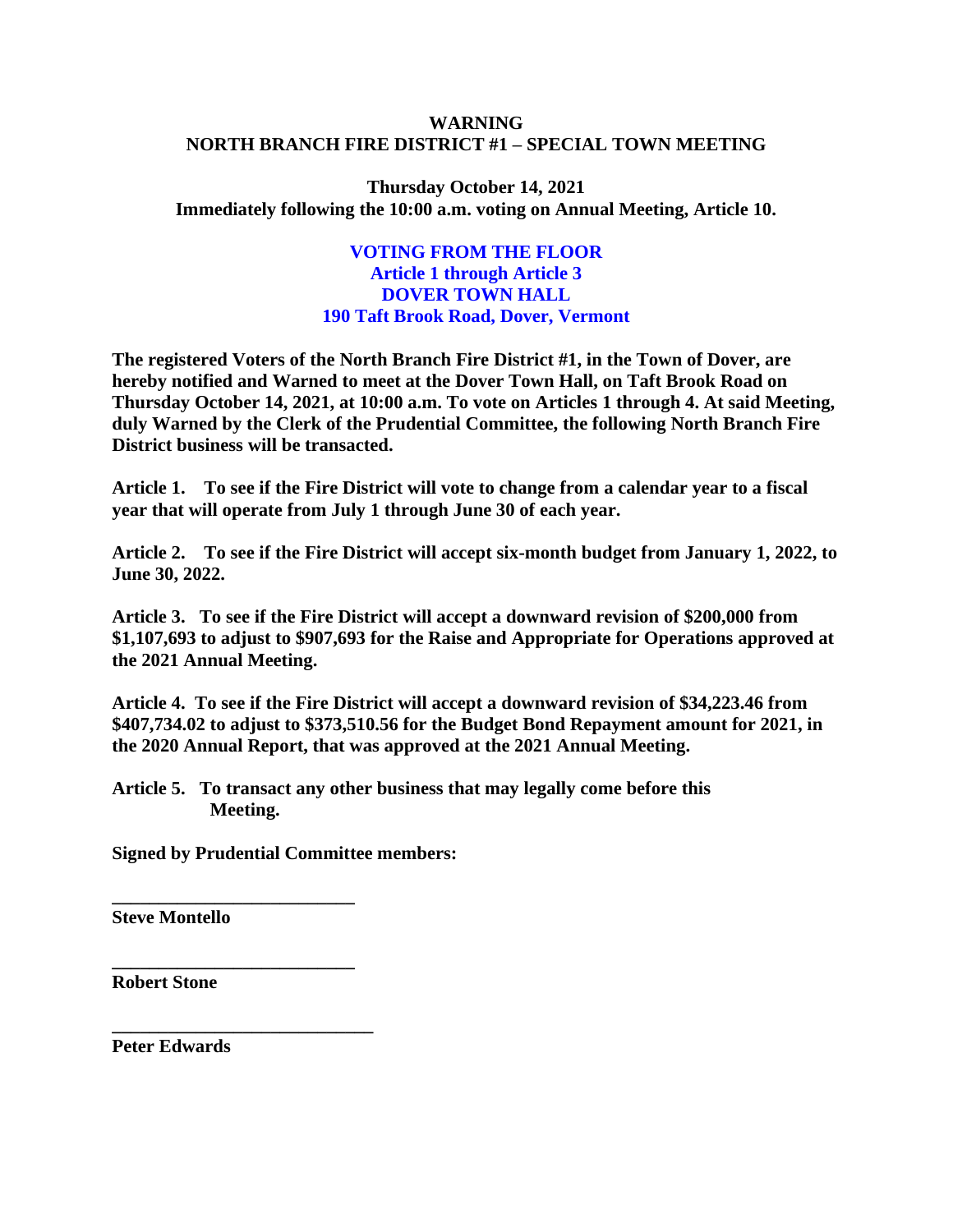## **WARNING NORTH BRANCH FIRE DISTRICT #1 – SPECIAL TOWN MEETING**

**Thursday October 14, 2021 Immediately following the 10:00 a.m. voting on Annual Meeting, Article 10.** 

## **VOTING FROM THE FLOOR Article 1 through Article 3 DOVER TOWN HALL 190 Taft Brook Road, Dover, Vermont**

**The registered Voters of the North Branch Fire District #1, in the Town of Dover, are hereby notified and Warned to meet at the Dover Town Hall, on Taft Brook Road on Thursday October 14, 2021, at 10:00 a.m. To vote on Articles 1 through 4. At said Meeting, duly Warned by the Clerk of the Prudential Committee, the following North Branch Fire District business will be transacted.**

**Article 1. To see if the Fire District will vote to change from a calendar year to a fiscal year that will operate from July 1 through June 30 of each year.** 

**Article 2. To see if the Fire District will accept six-month budget from January 1, 2022, to June 30, 2022.**

**Article 3. To see if the Fire District will accept a downward revision of \$200,000 from \$1,107,693 to adjust to \$907,693 for the Raise and Appropriate for Operations approved at the 2021 Annual Meeting.**

**Article 4. To see if the Fire District will accept a downward revision of \$34,223.46 from \$407,734.02 to adjust to \$373,510.56 for the Budget Bond Repayment amount for 2021, in the 2020 Annual Report, that was approved at the 2021 Annual Meeting.** 

**Article 5. To transact any other business that may legally come before this Meeting.**

**Signed by Prudential Committee members:**

**\_\_\_\_\_\_\_\_\_\_\_\_\_\_\_\_\_\_\_\_\_\_\_\_\_\_**

**\_\_\_\_\_\_\_\_\_\_\_\_\_\_\_\_\_\_\_\_\_\_\_\_\_\_** 

**\_\_\_\_\_\_\_\_\_\_\_\_\_\_\_\_\_\_\_\_\_\_\_\_\_\_\_\_**

**Steve Montello**

**Robert Stone**

**Peter Edwards**